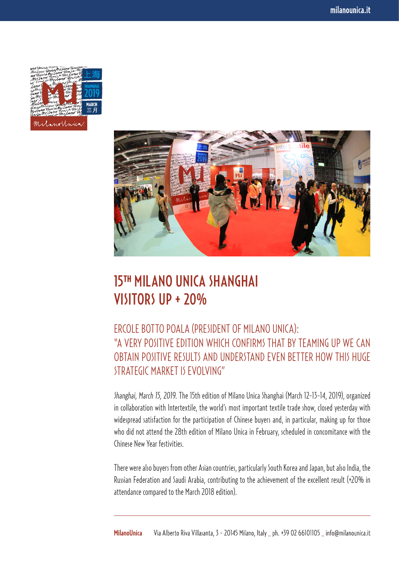



## 15**TH** MILANO UNICA SHANGHAI VISITORS UP + 20%

## ERCOLE BOTTO POALA (PRESIDENT OF MILANO UNICA): "A VERY POSITIVE EDITION WHICH CONFIRMS THAT BY TEAMING UP WE CAN OBTAIN POSITIVE RESULTS AND UNDERSTAND EVEN BETTER HOW THIS HUGE STRATEGIC MARKET IS EVOLVING"

*Shanghai, March 15, 2019.* The 15th edition of Milano Unica Shanghai (March 12-13-14, 2019), organized in collaboration with Intertextile, the world's most important textile trade show, closed yesterday with widespread satisfaction for the participation of Chinese buyers and, in particular, making up for those who did not attend the 28th edition of Milano Unica in February, scheduled in concomitance with the Chinese New Year festivities.

There were also buyers from other Asian countries, particularly South Korea and Japan, but also India, the Russian Federation and Saudi Arabia, contributing to the achievement of the excellent result (+20% in attendance compared to the March 2018 edition).